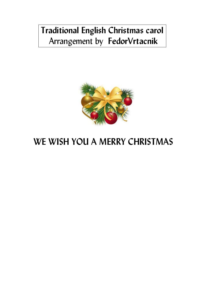## **Traditional English Christmas carol**  Arrangement by **FedorVrtacnik**



## **WE WISH YOU A MERRY CHRISTMAS**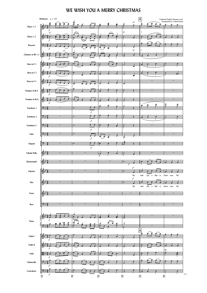## **WE WISH YOU A MERRY CHRISTMAS**